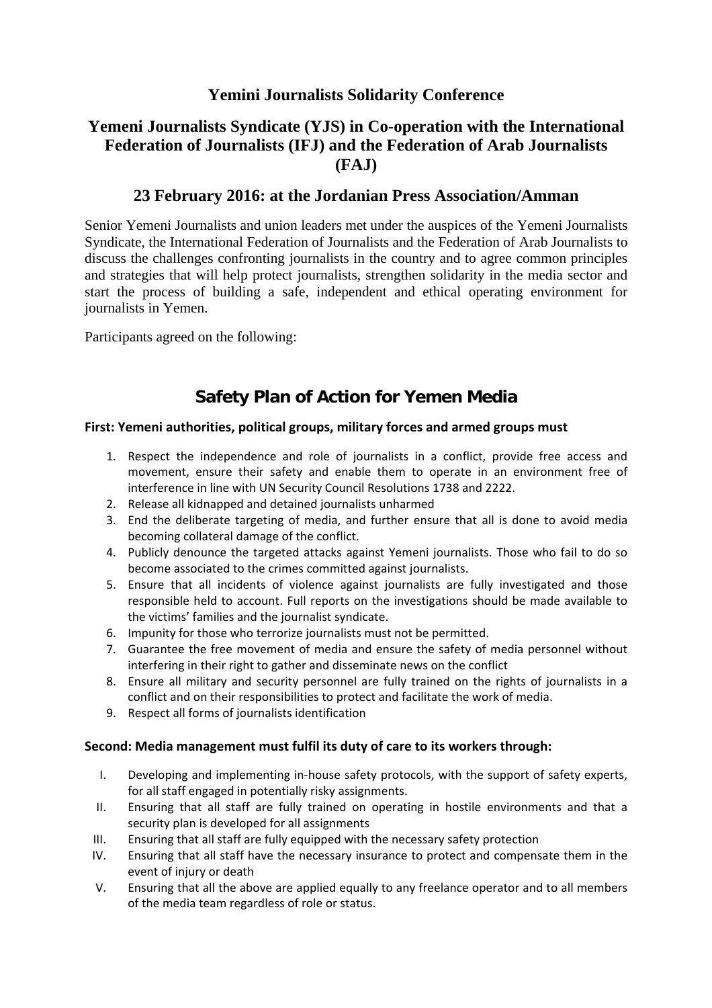# **Yemini Journalists Solidarity Conference**

# **Yemeni Journalists Syndicate (YJS) in Co-operation with the International Federation of Journalists (IFJ) and the Federation of Arab Journalists (FAJ)**

### **23 February 2016: at the Jordanian Press Association/Amman**

Senior Yemeni Journalists and union leaders met under the auspices of the Yemeni Journalists Syndicate, the International Federation of Journalists and the Federation of Arab Journalists to discuss the challenges confronting journalists in the country and to agree common principles and strategies that will help protect journalists, strengthen solidarity in the media sector and start the process of building a safe, independent and ethical operating environment for journalists in Yemen.

Participants agreed on the following:

# **Safety Plan of Action for Yemen Media**

### **First: Yemeni authorities, political groups, military forces and armed groups must**

- 1. Respect the independence and role of journalists in a conflict, provide free access and movement, ensure their safety and enable them to operate in an environment free of interference in line with UN Security Council Resolutions 1738 and 2222.
- 2. Release all kidnapped and detained journalists unharmed
- 3. End the deliberate targeting of media, and further ensure that all is done to avoid media becoming collateral damage of the conflict.
- 4. Publicly denounce the targeted attacks against Yemeni journalists. Those who fail to do so become associated to the crimes committed against journalists.
- 5. Ensure that all incidents of violence against journalists are fully investigated and those responsible held to account. Full reports on the investigations should be made available to the victims' families and the journalist syndicate.
- 6. Impunity for those who terrorize journalists must not be permitted.
- 7. Guarantee the free movement of media and ensure the safety of media personnel without interfering in their right to gather and disseminate news on the conflict
- 8. Ensure all military and security personnel are fully trained on the rights of journalists in a conflict and on their responsibilities to protect and facilitate the work of media.
- 9. Respect all forms of journalists identification

### **Second: Media management must fulfil its duty of care to its workers through:**

- I. Developing and implementing in‐house safety protocols, with the support of safety experts, for all staff engaged in potentially risky assignments.
- II. Ensuring that all staff are fully trained on operating in hostile environments and that a security plan is developed for all assignments
- III. Ensuring that all staff are fully equipped with the necessary safety protection
- IV. Ensuring that all staff have the necessary insurance to protect and compensate them in the event of injury or death
- V. Ensuring that all the above are applied equally to any freelance operator and to all members of the media team regardless of role or status.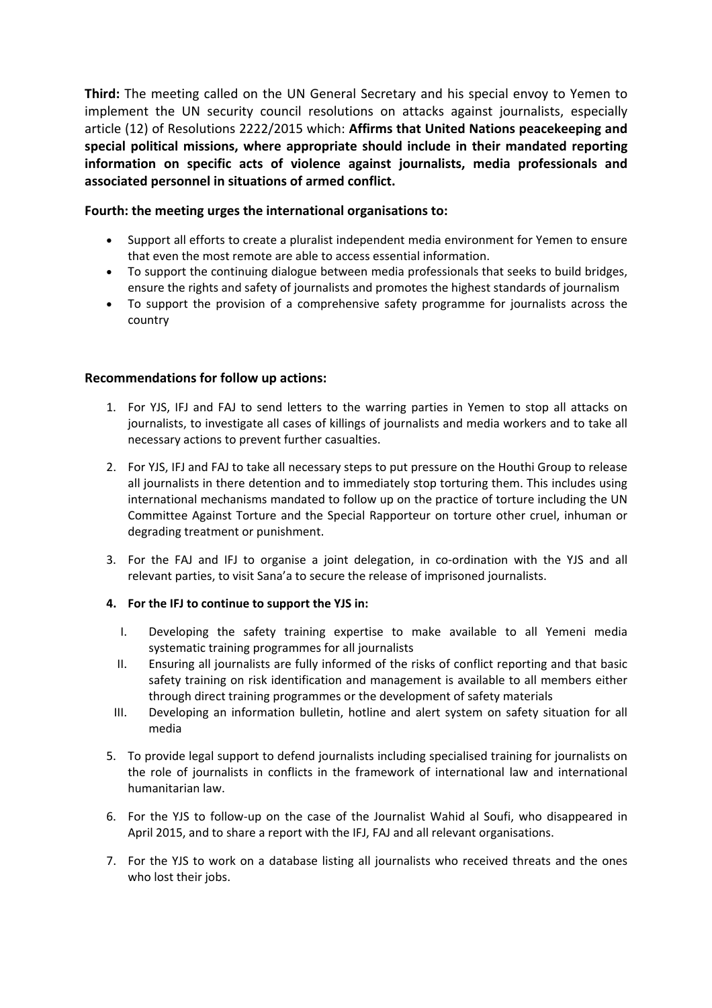**Third:** The meeting called on the UN General Secretary and his special envoy to Yemen to implement the UN security council resolutions on attacks against journalists, especially article (12) of Resolutions 2222/2015 which: **Affirms that United Nations peacekeeping and special political missions, where appropriate should include in their mandated reporting information on specific acts of violence against journalists, media professionals and associated personnel in situations of armed conflict.**

### **Fourth: the meeting urges the international organisations to:**

- Support all efforts to create a pluralist independent media environment for Yemen to ensure that even the most remote are able to access essential information.
- To support the continuing dialogue between media professionals that seeks to build bridges, ensure the rights and safety of journalists and promotes the highest standards of journalism
- To support the provision of a comprehensive safety programme for journalists across the country

#### **Recommendations for follow up actions:**

- 1. For YJS, IFJ and FAJ to send letters to the warring parties in Yemen to stop all attacks on journalists, to investigate all cases of killings of journalists and media workers and to take all necessary actions to prevent further casualties.
- 2. For YJS, IFJ and FAJ to take all necessary steps to put pressure on the Houthi Group to release all journalists in there detention and to immediately stop torturing them. This includes using international mechanisms mandated to follow up on the practice of torture including the UN Committee Against Torture and the Special Rapporteur on torture other cruel, inhuman or degrading treatment or punishment.
- 3. For the FAJ and IFJ to organise a joint delegation, in co-ordination with the YJS and all relevant parties, to visit Sana'a to secure the release of imprisoned journalists.

#### **4. For the IFJ to continue to support the YJS in:**

- I. Developing the safety training expertise to make available to all Yemeni media systematic training programmes for all journalists
- II. Ensuring all journalists are fully informed of the risks of conflict reporting and that basic safety training on risk identification and management is available to all members either through direct training programmes or the development of safety materials
- III. Developing an information bulletin, hotline and alert system on safety situation for all media
- 5. To provide legal support to defend journalists including specialised training for journalists on the role of journalists in conflicts in the framework of international law and international humanitarian law.
- 6. For the YJS to follow‐up on the case of the Journalist Wahid al Soufi, who disappeared in April 2015, and to share a report with the IFJ, FAJ and all relevant organisations.
- 7. For the YJS to work on a database listing all journalists who received threats and the ones who lost their jobs.